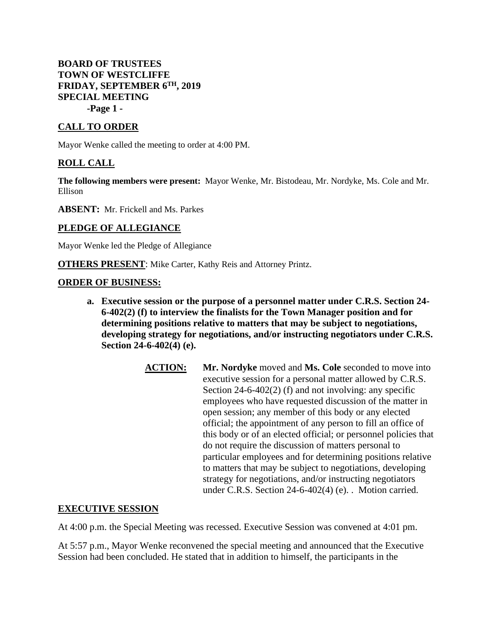## **BOARD OF TRUSTEES TOWN OF WESTCLIFFE FRIDAY, SEPTEMBER 6TH, 2019 SPECIAL MEETING -Page 1 -**

## **CALL TO ORDER**

Mayor Wenke called the meeting to order at 4:00 PM.

## **ROLL CALL**

**The following members were present:** Mayor Wenke, Mr. Bistodeau, Mr. Nordyke, Ms. Cole and Mr. Ellison

**ABSENT:** Mr. Frickell and Ms. Parkes

## **PLEDGE OF ALLEGIANCE**

Mayor Wenke led the Pledge of Allegiance

**OTHERS PRESENT:** Mike Carter, Kathy Reis and Attorney Printz.

#### **ORDER OF BUSINESS:**

- **a. Executive session or the purpose of a personnel matter under C.R.S. Section 24- 6-402(2) (f) to interview the finalists for the Town Manager position and for determining positions relative to matters that may be subject to negotiations, developing strategy for negotiations, and/or instructing negotiators under C.R.S. Section 24-6-402(4) (e).**
	- **ACTION:** Mr. Nordyke moved and Ms. Cole seconded to move into executive session for a personal matter allowed by C.R.S. Section 24-6-402(2) (f) and not involving: any specific employees who have requested discussion of the matter in open session; any member of this body or any elected official; the appointment of any person to fill an office of this body or of an elected official; or personnel policies that do not require the discussion of matters personal to particular employees and for determining positions relative to matters that may be subject to negotiations, developing strategy for negotiations, and/or instructing negotiators under C.R.S. Section 24-6-402(4) (e). . Motion carried.

#### **EXECUTIVE SESSION**

At 4:00 p.m. the Special Meeting was recessed. Executive Session was convened at 4:01 pm.

At 5:57 p.m., Mayor Wenke reconvened the special meeting and announced that the Executive Session had been concluded. He stated that in addition to himself, the participants in the